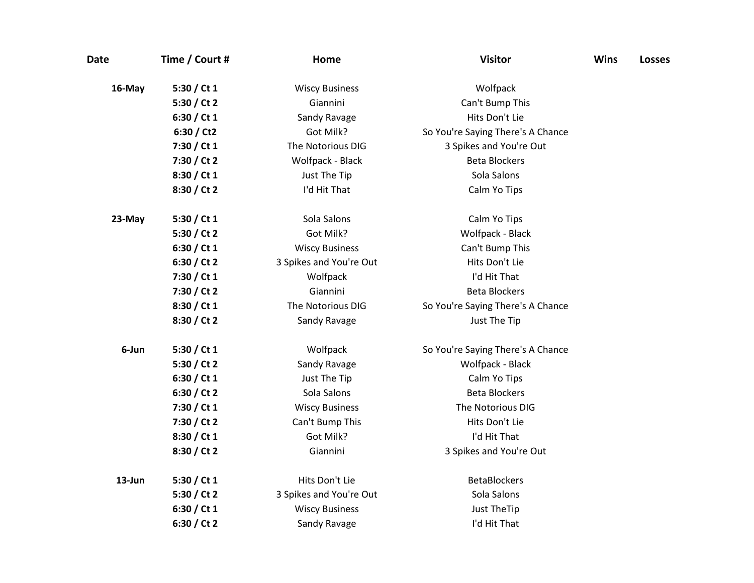| <b>Date</b> | Time / Court # | Home                    | <b>Visitor</b>                    | <b>Wins</b> | <b>Losses</b> |
|-------------|----------------|-------------------------|-----------------------------------|-------------|---------------|
| 16-May      | 5:30 / Ct 1    | <b>Wiscy Business</b>   | Wolfpack                          |             |               |
|             | 5:30 / Ct 2    | Giannini                | Can't Bump This                   |             |               |
|             | 6:30 / Ct 1    | Sandy Ravage            | Hits Don't Lie                    |             |               |
|             | 6:30 / Ct2     | Got Milk?               | So You're Saying There's A Chance |             |               |
|             | 7:30 / Ct 1    | The Notorious DIG       | 3 Spikes and You're Out           |             |               |
|             | 7:30 / Ct 2    | Wolfpack - Black        | <b>Beta Blockers</b>              |             |               |
|             | 8:30 / Ct 1    | Just The Tip            | Sola Salons                       |             |               |
|             | 8:30 / Ct 2    | I'd Hit That            | Calm Yo Tips                      |             |               |
| 23-May      | 5:30 / Ct 1    | Sola Salons             | Calm Yo Tips                      |             |               |
|             | 5:30 / Ct 2    | Got Milk?               | Wolfpack - Black                  |             |               |
|             | 6:30 / Ct $1$  | <b>Wiscy Business</b>   | Can't Bump This                   |             |               |
|             | 6:30 / Ct 2    | 3 Spikes and You're Out | Hits Don't Lie                    |             |               |
|             | 7:30 / Ct 1    | Wolfpack                | I'd Hit That                      |             |               |
|             | 7:30 / Ct 2    | Giannini                | <b>Beta Blockers</b>              |             |               |
|             | 8:30 / Ct 1    | The Notorious DIG       | So You're Saying There's A Chance |             |               |
|             | 8:30 / Ct 2    | Sandy Ravage            | Just The Tip                      |             |               |
| 6-Jun       | 5:30 / Ct $1$  | Wolfpack                | So You're Saying There's A Chance |             |               |
|             | 5:30 / Ct 2    | Sandy Ravage            | Wolfpack - Black                  |             |               |
|             | 6:30 / Ct 1    | Just The Tip            | Calm Yo Tips                      |             |               |
|             | 6:30 / Ct 2    | Sola Salons             | <b>Beta Blockers</b>              |             |               |
|             | 7:30 / Ct 1    | <b>Wiscy Business</b>   | The Notorious DIG                 |             |               |
|             | 7:30 / Ct 2    | Can't Bump This         | Hits Don't Lie                    |             |               |
|             | 8:30 / Ct 1    | Got Milk?               | I'd Hit That                      |             |               |
|             | 8:30 / Ct 2    | Giannini                | 3 Spikes and You're Out           |             |               |
| 13-Jun      | 5:30 / Ct $1$  | Hits Don't Lie          | <b>BetaBlockers</b>               |             |               |
|             | 5:30 / Ct 2    | 3 Spikes and You're Out | Sola Salons                       |             |               |
|             | 6:30 / Ct 1    | <b>Wiscy Business</b>   | Just TheTip                       |             |               |
|             | 6:30 / Ct 2    | Sandy Ravage            | I'd Hit That                      |             |               |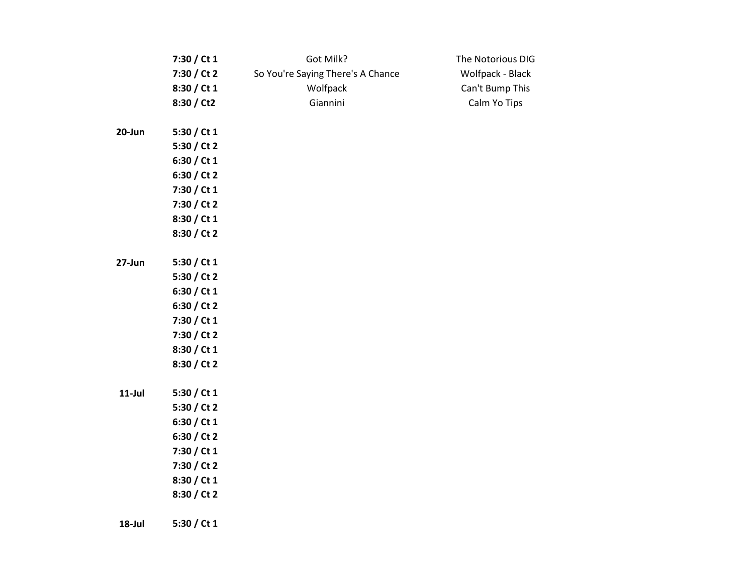|           | 7:30 / Ct 1   | Got Milk?                         | The Notorious DIG |
|-----------|---------------|-----------------------------------|-------------------|
|           | 7:30 / Ct 2   | So You're Saying There's A Chance | Wolfpack - Black  |
|           | 8:30 / Ct 1   | Wolfpack                          | Can't Bump This   |
|           | 8:30 / Ct2    | Giannini                          | Calm Yo Tips      |
| 20-Jun    | 5:30 / Ct 1   |                                   |                   |
|           | 5:30 / Ct 2   |                                   |                   |
|           | 6:30 / Ct 1   |                                   |                   |
|           | 6:30 / Ct 2   |                                   |                   |
|           | 7:30 / Ct 1   |                                   |                   |
|           | 7:30 / Ct 2   |                                   |                   |
|           | 8:30 / Ct 1   |                                   |                   |
|           | 8:30 / Ct 2   |                                   |                   |
| 27-Jun    | 5:30 / Ct $1$ |                                   |                   |
|           | 5:30 / Ct 2   |                                   |                   |
|           | 6:30 / Ct 1   |                                   |                   |
|           | 6:30 / Ct 2   |                                   |                   |
|           | 7:30 / Ct 1   |                                   |                   |
|           | 7:30 / Ct 2   |                                   |                   |
|           | 8:30 / Ct 1   |                                   |                   |
|           | 8:30 / Ct 2   |                                   |                   |
| $11$ -Jul | 5:30 / Ct $1$ |                                   |                   |
|           | 5:30 / Ct 2   |                                   |                   |
|           | 6:30 / Ct 1   |                                   |                   |
|           | 6:30 / Ct 2   |                                   |                   |
|           | 7:30 / Ct 1   |                                   |                   |
|           | 7:30 / Ct 2   |                                   |                   |
|           | 8:30 / Ct 1   |                                   |                   |
|           | 8:30 / Ct 2   |                                   |                   |
| 18-Jul    | 5:30 / Ct 1   |                                   |                   |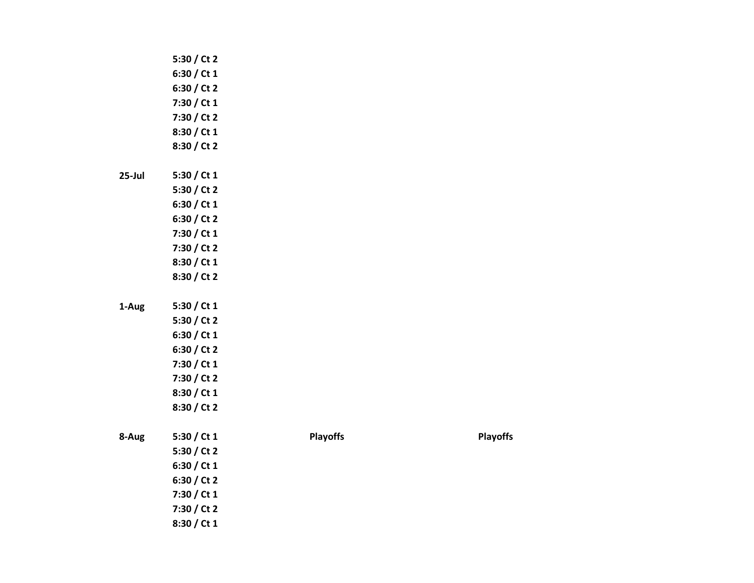|           | 5:30 / Ct 2 |                 |                 |
|-----------|-------------|-----------------|-----------------|
|           | 6:30 / Ct 1 |                 |                 |
|           | 6:30 / Ct 2 |                 |                 |
|           | 7:30 / Ct 1 |                 |                 |
|           | 7:30 / Ct 2 |                 |                 |
|           | 8:30 / Ct 1 |                 |                 |
|           | 8:30 / Ct 2 |                 |                 |
| $25$ -Jul | 5:30 / Ct 1 |                 |                 |
|           | 5:30 / Ct 2 |                 |                 |
|           | 6:30 / Ct 1 |                 |                 |
|           | 6:30 / Ct 2 |                 |                 |
|           | 7:30 / Ct 1 |                 |                 |
|           | 7:30 / Ct 2 |                 |                 |
|           | 8:30 / Ct 1 |                 |                 |
|           | 8:30 / Ct 2 |                 |                 |
| 1-Aug     | 5:30 / Ct 1 |                 |                 |
|           | 5:30 / Ct 2 |                 |                 |
|           | 6:30 / Ct 1 |                 |                 |
|           | 6:30 / Ct 2 |                 |                 |
|           | 7:30 / Ct 1 |                 |                 |
|           | 7:30 / Ct 2 |                 |                 |
|           | 8:30 / Ct 1 |                 |                 |
|           | 8:30 / Ct 2 |                 |                 |
| 8-Aug     | 5:30 / Ct 1 | <b>Playoffs</b> | <b>Playoffs</b> |
|           | 5:30 / Ct 2 |                 |                 |
|           | 6:30 / Ct 1 |                 |                 |
|           | 6:30 / Ct 2 |                 |                 |
|           | 7:30 / Ct 1 |                 |                 |
|           | 7:30 / Ct 2 |                 |                 |
|           | 8:30 / Ct 1 |                 |                 |